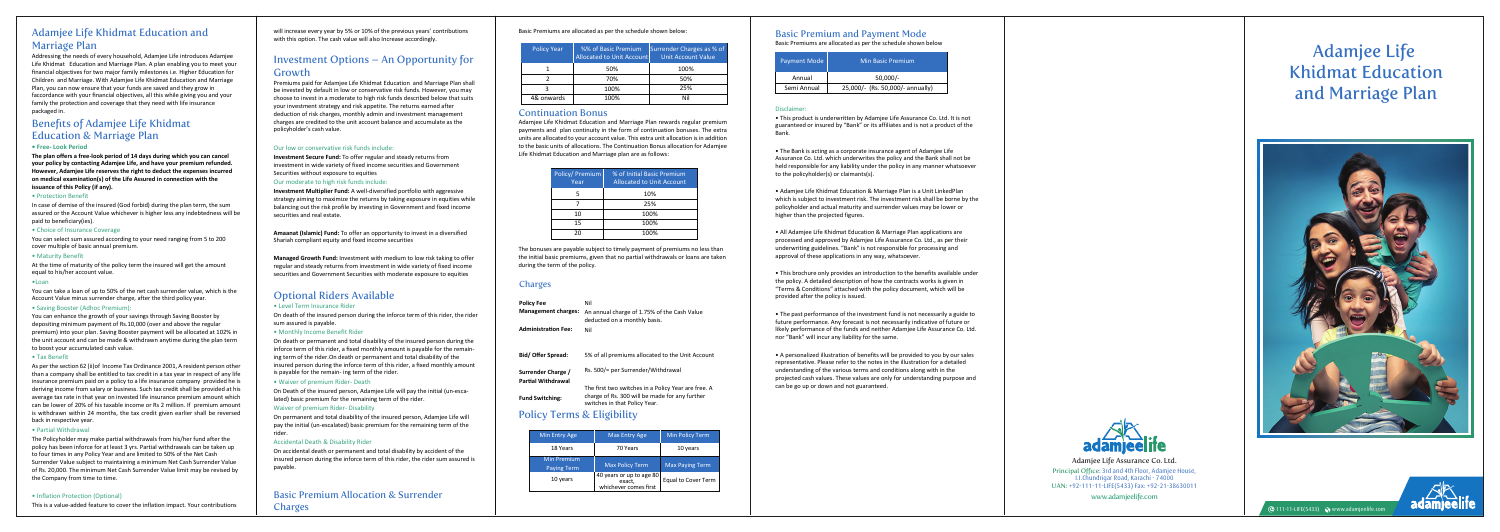www.adamjeelife.com Principal Office: **3rd and 4th Floor, Adamjee House, I.I.Chundrigar Road, Karachi - 74000** UAN: **+92-111-11-LIFE(5433) Fax: +92-21-38630011** Adamjee Life Assurance Co. Ltd.

## Adamjee Life Khidmat Education and Marriage Plan

Addressing the needs of every household, Adamjee Life introduces Adamjee Life Khidmat Education and Marriage Plan. A plan enabling you to meet your financial objectives for two major family milestones i.e. Higher Education for Children and Marriage. With Adamjee Life Khidmat Education and Marriage Plan, you can now ensure that your funds are saved and they grow in faccordance with your financial objectives, all this while giving you and your family the protection and coverage that they need with life insurance packaged in.

# Benefits of Adamjee Life Khidmat Education & Marriage Plan

#### **• Free- Look Period**

**The plan offers a free-look period of 14 days during which you can cancel your policy by contacting Adamjee Life, and have your premium refunded. However, Adamjee Life reserves the right to deduct the expenses incurred on medical examination(s) of the Life Assured in connection with the issuance of this Policy (if any).**

#### • Protection Benefit

In case of demise of the insured (God forbid) during the plan term, the sum assured or the Account Value whichever is higher less any indebtedness will be paid to beneficiary(ies).

#### • Choice of Insurance Coverage

You can select sum assured according to your need ranging from 5 to 200 cover multiple of basic annual premium.

#### • Maturity Benefit

At the time of maturity of the policy term the insured will get the amount equal to his/her account value.

#### •Loan

You can take a loan of up to 50% of the net cash surrender value, which is the Account Value minus surrender charge, after the third policy year.

#### • Saving Booster (Adhoc Premium):

You can enhance the growth of your savings through Saving Booster by depositing minimum payment of Rs.10,000 (over and above the regular premium) into your plan. Saving Booster payment will be allocated at 102% in the unit account and can be made & withdrawn anytime during the plan term to boost your accumulated cash value.

#### • Tax Benefit

As per the section 62 (ii)of Income Tax Ordinance 2001, A resident person other than a company shall be entitled to tax credit in a tax year in respect of any life insurance premium paid on a policy to a life insurance company provided he is deriving income from salary or business. Such tax credit shall be provided at his average tax rate in that year on invested life insurance premium amount which can be lower of 20% of his taxable income or Rs 2 million. If premium amount is withdrawn within 24 months, the tax credit given earlier shall be reversed back in respective year.

**Managed Growth Fund:** Investment with medium to low risk taking to offer regular and steady returns from investment in wide variety of fixed income securities and Government Securities with moderate exposure to equities

#### • Partial Withdrawal

The Policyholder may make partial withdrawals from his/her fund after the policy has been inforce for at least 3 yrs. Partial withdrawals can be taken up to four times in any Policy Year and are limited to 50% of the Net Cash Surrender Value subject to maintaining a minimum Net Cash Surrender Value of Rs. 20,000. The minimum Net Cash Surrender Value limit may be revised by the Company from time to time.

#### • Inflation Protection (Optional)

This is a value-added feature to cover the inflation impact. Your contributions

Basic Premium Allocation & Surrender **Charges** 

#### Basic Premiums are allocated as per the schedule shown below:

### Continuation Bonus

Adamjee Life Khidmat Education and Marriage Plan rewards regular premium payments and plan continuity in the form of continuation bonuses. The extra units are allocated to your account value. This extra unit allocation is in addition to the basic units of allocations. The Continuation Bonus allocation for Adamjee Life Khidmat Education and Marriage plan are as follows:

The bonuses are payable subject to timely payment of premiums no less than the initial basic premiums, given that no partial withdrawals or loans are taken during the term of the policy.

### **Charges**

# Policy Terms & Eligibility

will increase every year by 5% or 10% of the previous years' contributions with this option. The cash value will also Increase accordingly.

# Investment Options – An Opportunity for Growth

Premiums paid for Adamjee Life Khidmat Education and Marriage Plan shall be invested by default in low or conservative risk funds. However, you may choose to invest in a moderate to high risk funds described below that suits your investment strategy and risk appetite. The returns earned after deduction of risk charges, monthly admin and investment management charges are credited to the unit account balance and accumulate as the policyholder's cash value.

#### Our low or conservative risk funds include:

**Investment Secure Fund:** To offer regular and steady returns from investment in wide variety of fixed income securities and Government Securities without exposure to equities

Adamjee Life Khidmat Education and Marriage Plan





#### Our moderate to high risk funds include:

**Investment Multiplier Fund:** A well-diversified portfolio with aggressive strategy aiming to maximize the returns by taking exposure in equities while balancing out the risk profile by investing in Government and fixed income securities and real estate.

**Amaanat (Islamic) Fund:** To offer an opportunity to invest in a diversified Shariah compliant equity and fixed income securities

# Optional Riders Available

#### • Level Term Insurance Rider

On death of the insured person during the inforce term of this rider, the rider sum assured is payable.

#### • Monthly Income Benefit Rider

On death or permanent and total disability of the insured person during the inforce term of this rider, a fixed monthly amount is payable for the remaining term of the rider.On death or permanent and total disability of the insured person during the inforce term of this rider, a fixed monthly amount is payable for the remain- ing term of the rider.

• Waiver of premium Rider- Death

On Death of the insured person, Adamjee Life will pay the initial (un-escalated) basic premium for the remaining term of the rider.

#### Waiver of premium Rider- Disability

On permanent and total disability of the insured person, Adamjee Life will pay the initial (un-escalated) basic premium for the remaining term of the rider.

#### Accidental Death & Disability Rider

On accidental death or permanent and total disability by accident of the insured person during the inforce term of this rider, the rider sum assured is payable.

| Policy/ Premium<br>Year | % of Initial Basic Premium<br><b>Allocated to Unit Account</b> |
|-------------------------|----------------------------------------------------------------|
| 5                       | 10%                                                            |
|                         | 25%                                                            |
| 10                      | 100%                                                           |
| 15                      | 100%                                                           |
| 20                      | 100%                                                           |

| <b>Policy Year</b> | %% of Basic Premium<br>Allocated to Unit Accountl | Surrender Charges as % of<br><b>Unit Account Value</b> |
|--------------------|---------------------------------------------------|--------------------------------------------------------|
|                    | 50%                                               | 100%                                                   |
|                    | 70%                                               | 50%                                                    |
|                    | 100%                                              | 25%                                                    |
| 4& onwards         | 100%                                              | Nil                                                    |

### Basic Premium and Payment Mode

Basic Premiums are allocated as per the schedule shown below

#### Disclaimer:

• This product is underwritten by Adamjee Life Assurance Co. Ltd. It is not guaranteed or insured by "Bank" or its affiliates and is not a product of the Bank.

• The Bank is acting as a corporate insurance agent of Adamjee Life Assurance Co. Ltd. which underwrites the policy and the Bank shall not be held responsible for any liability under the policy in any manner whatsoever to the policyholder(s) or claimants(s).

• Adamjee Life Khidmat Education & Marriage Plan is a Unit LinkedPlan which is subject to investment risk. The investment risk shall be borne by the policyholder and actual maturity and surrender values may be lower or higher than the projected figures.

• All Adamjee Life Khidmat Education & Marriage Plan applications are processed and approved by Adamjee Life Assurance Co. Ltd., as per their underwriting guidelines. "Bank" is not responsible for processing and approval of these applications in any way, whatsoever.

• This brochure only provides an introduction to the benefits available under the policy. A detailed description of how the contracts works is given in "Terms & Conditions" attached with the policy document, which will be provided after the policy is issued.

• The past performance of the investment fund is not necessarily a guide to future performance. Any forecast is not necessarily indicative of future or likely performance of the funds and neither Adamjee Life Assurance Co. Ltd. nor "Bank" will incur any liability for the same.

• A personalized illustration of benefits will be provided to you by our sales representative. Please refer to the notes in the illustration for a detailed understanding of the various terms and conditions along with in the projected cash values. These values are only for understanding purpose and can be go up or down and not guaranteed.



| Policy Fee<br><b>Management charges:</b><br><b>Administration Fee:</b> | Nil<br>An annual charge of 1.75% of the Cash Value<br>deducted on a monthly basis.<br>Nil                                              |
|------------------------------------------------------------------------|----------------------------------------------------------------------------------------------------------------------------------------|
| Bid/ Offer Spread:                                                     | 5% of all premiums allocated to the Unit Account                                                                                       |
| Surrender Charge /<br>Partial Withdrawal                               | Rs. 500/= per Surrender/Withdrawal                                                                                                     |
| <b>Fund Switching:</b>                                                 | The first two switches in a Policy Year are free. A<br>charge of Rs. 300 will be made for any further<br>switches in that Policy Year. |

| Min Entry Age                            | <b>Max Entry Age</b>                                        | <b>Min Policy Term</b> |
|------------------------------------------|-------------------------------------------------------------|------------------------|
| 18 Years                                 | 70 Years                                                    | 10 years               |
| <b>Min Premium</b><br><b>Paying Term</b> | <b>Max Policy Term</b>                                      | <b>Max Paying Term</b> |
| 10 years                                 | 40 years or up to age 80<br>exact,<br>whichever comes first | Equal to Cover Term    |

| Payment Mode | <b>Min Basic Premium</b>         |  |
|--------------|----------------------------------|--|
| Annual       | $50.000/-$                       |  |
| Semi Annual  | 25,000/- (Rs. 50,000/- annually) |  |